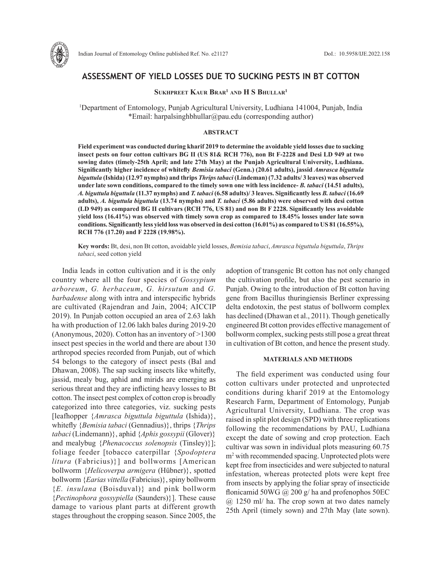

# **ASSESSMENT OF YIELD LOSSES DUE TO SUCKING PESTS IN BT COTTON**

## **Sukhpreet Kaur Brar1 and H S Bhullar1**

1 Department of Entomology, Punjab Agricultural University, Ludhiana 141004, Punjab, India \*Email: harpalsinghbhullar@pau.edu (corresponding author)

#### **ABSTRACT**

**Field experiment was conducted during kharif 2019 to determine the avoidable yield losses due to sucking insect pests on four cotton cultivars BG II (US 81& RCH 776), non Bt F-2228 and Desi LD 949 at two sowing dates (timely-25th April; and late 27th May) at the Punjab Agricultural University, Ludhiana. Significantly higher incidence of whitefly** *Bemisia tabaci* **(Genn.) (20.61 adults), jassid** *Amrasca biguttula biguttula* **(Ishida) (12.97 nymphs) and thrips** *Thrips tabaci* **(Lindeman) (7.32 adults/ 3 leaves) was observed under late sown conditions, compared to the timely sown one with less incidence-** *B. tabaci* **(14.51 adults),**  *A. biguttula biguttula* **(11.37 nymphs) and** *T. tabaci* **(6.58 adults)/ 3 leaves. Significantly less** *B. tabaci* **(16.69 adults),** *A. biguttula biguttula* **(13.74 nymphs) and** *T. tabaci* **(5.86 adults) were observed with desi cotton (LD 949) as compared BG II cultivars (RCH 776, US 81) and non Bt F 2228. Significantly less avoidable yield loss (16.41%) was observed with timely sown crop as compared to 18.45% losses under late sown conditions. Significantly less yield loss was observed in desi cotton (16.01%) as compared to US 81 (16.55%), RCH 776 (17.20) and F 2228 (19.98%).**

**Key words:** Bt, desi, non Bt cotton, avoidable yield losses, *Bemisia tabaci*, *Amrasca biguttula biguttula*, *Thrips tabaci*, seed cotton yield

India leads in cotton cultivation and it is the only country where all the four species of *Gossypium arboreum*, *G. herbaceum*, *G. hirsutum* and *G. barbadense* along with intra and interspecific hybrids are cultivated (Rajendran and Jain, 2004; AICCIP 2019). In Punjab cotton occupied an area of 2.63 lakh ha with production of 12.06 lakh bales during 2019-20 (Anonymous, 2020). Cotton has an inventory of >1300 insect pest species in the world and there are about 130 arthropod species recorded from Punjab, out of which 54 belongs to the category of insect pests (Bal and Dhawan, 2008). The sap sucking insects like whitefly, jassid, mealy bug, aphid and mirids are emerging as serious threat and they are inflicting heavy losses to Bt cotton. The insect pest complex of cotton crop is broadly categorized into three categories, viz. sucking pests [leafhopper {*Amrasca biguttula biguttula* (Ishida)}, whitefly {*Bemisia tabaci* (Gennadius)}, thrips {*Thrips tabaci* (Lindemann)}, aphid {*Aphis gossypii* (Glover)} and mealybug {*Phenacoccus solenopsis* (Tinsley)}]; foliage feeder [tobacco caterpillar {*Spodoptera litura* (Fabricius)}] and bollworms [American bollworm {*Helicoverpa armigera* (Hübner)}, spotted bollworm {*Earias vittella* (Fabricius)}, spiny bollworm {*E. insulana* (Boisduval)} and pink bollworm {*Pectinophora gossypiella* (Saunders)}]. These cause damage to various plant parts at different growth stages throughout the cropping season. Since 2005, the adoption of transgenic Bt cotton has not only changed the cultivation profile, but also the pest scenario in Punjab. Owing to the introduction of Bt cotton having gene from Bacillus thuringiensis Berliner expressing delta endotoxin, the pest status of bollworm complex has declined (Dhawan et al., 2011). Though genetically engineered Bt cotton provides effective management of bollworm complex, sucking pests still pose a great threat in cultivation of Bt cotton, and hence the present study.

### **MATERIALS AND METHODS**

The field experiment was conducted using four cotton cultivars under protected and unprotected conditions during kharif 2019 at the Entomology Research Farm, Department of Entomology, Punjab Agricultural University, Ludhiana. The crop was raised in split plot design (SPD) with three replications following the recommendations by PAU, Ludhiana except the date of sowing and crop protection. Each cultivar was sown in individual plots measuring 60.75 m2 with recommended spacing. Unprotected plots were kept free from insecticides and were subjected to natural infestation, whereas protected plots were kept free from insects by applying the foliar spray of insecticide flonicamid 50WG  $\omega$  200 g/ ha and profenophos 50EC  $(a)$  1250 ml/ ha. The crop sown at two dates namely 25th April (timely sown) and 27th May (late sown).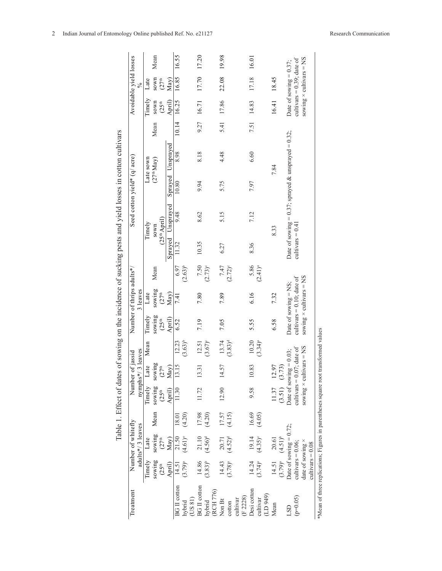| Treatment                                                       |                         | Number of whitefly        |        | Number              | of jassid                                        |                    |                     | Number of thrips adults*/      |                               |                   |                   | Seed cotton yield* (q/ acre) |                                                    |       |                     | Avoidable yield losses         |       |
|-----------------------------------------------------------------|-------------------------|---------------------------|--------|---------------------|--------------------------------------------------|--------------------|---------------------|--------------------------------|-------------------------------|-------------------|-------------------|------------------------------|----------------------------------------------------|-------|---------------------|--------------------------------|-------|
|                                                                 |                         | adults*/3 leaves          |        |                     | nymphs*/ 3 leaves                                |                    |                     | 3 leaves                       |                               |                   |                   |                              |                                                    |       |                     | $\frac{8}{6}$                  |       |
|                                                                 | Timely                  | Late                      |        | Timely              | Late                                             | Mean               | Timely              | Late                           |                               |                   | Timely            |                              | Late sown                                          |       | Timely              | Late                           |       |
|                                                                 | sowing                  | sowing                    | Mean   | sowing              |                                                  |                    | sowing              |                                | Mean                          |                   | sown              |                              | $(27th$ May)                                       | Mean  | sown                |                                | Mean  |
|                                                                 | (25 <sup>th</sup> )     | (27 <sup>th</sup> )       |        | (25 <sup>th</sup> ) | $\substack{\mathrm{sowing} \\ (27^{\mathrm{th}}$ |                    | (25 <sup>th</sup> ) | sowing<br>$(27th$              |                               |                   | $(25th$ April)    |                              |                                                    |       | (25 <sup>th</sup> ) | sown<br>$(27th$ May)           |       |
|                                                                 | April)                  | May)                      |        | April)              | May)                                             |                    | April)              | May)                           |                               |                   | Sprayed Unsprayed |                              | Sprayed Unsprayed                                  |       | April)              |                                |       |
| <b>BG</b> II cotton                                             | 14.51                   | 21.50                     | 18.01  | 11.30               | 13.15                                            | 12.23              | 6.52                | 7.41                           | 6.97                          | 11.32             | 9.48              | 10.80                        | 8.98                                               | 10.14 | 16.25               | 16.85                          | 16.55 |
| (US 81)<br>hvbrid                                               | $(3.79)^{a}$            | $(4.61)$ <sup>e</sup>     | (4.20) |                     |                                                  | $(3.63)^{b}$       |                     |                                | $(2.63)^{b}$                  |                   |                   |                              |                                                    |       |                     |                                |       |
| <b>BG</b> II cotton                                             | 14.86                   | 21.10                     | 17.98  | 11.72               | 13.31                                            | 12.51              | 7.19                | 7.80                           |                               | 10.35             | 8.62              | 9.94                         | 8.18                                               | 9.27  | 16.71               | 17.70                          | 17.20 |
| hybrid                                                          | $(3.83)^{b}$            | $(4.56)^d$                | (4.20) |                     |                                                  | $(3.67)^{c}$       |                     |                                | $7.50$<br>(2.73) <sup>c</sup> |                   |                   |                              |                                                    |       |                     |                                |       |
| (RCH 776)                                                       |                         |                           |        |                     |                                                  |                    |                     |                                |                               |                   |                   |                              |                                                    |       |                     |                                |       |
| Non Bt                                                          | 14.43                   | 20.71                     | 17.57  | 12.90               | 57<br>$\vec{a}$                                  | 13.74              | 7.05                | 7.89                           | $7.47$<br>(2.72) <sup>c</sup> | 6.27              | 5.15              | 5.75                         | 4.48                                               | 5.41  | 17.86               | 22.08                          | 19.98 |
| cotton                                                          | $(3.78)^{a}$            | $(4.52)^{d}$              | (4.15) |                     |                                                  | $(3.83)^d$         |                     |                                |                               |                   |                   |                              |                                                    |       |                     |                                |       |
| cultivar                                                        |                         |                           |        |                     |                                                  |                    |                     |                                |                               |                   |                   |                              |                                                    |       |                     |                                |       |
| (F2228)                                                         |                         |                           |        |                     |                                                  |                    |                     |                                |                               |                   |                   |                              |                                                    |       |                     |                                |       |
| Desi cotton                                                     | 14.24                   | 19.14                     | 16.69  | 9.58                | 10.83                                            | 10.20              | 5.55                | 6.16                           | 5.86                          | 8.36              | 7.12              | 7.97                         | 6.60                                               | 7.51  | 14.83               | 17.18                          | 16.01 |
| LD 949)<br>cultivar                                             | $(3.74)^{a}$            | $(4.35)^{\circ}$          | (4.05) |                     |                                                  | $(3.34)^{a}$       |                     |                                | $(2.41)^{a}$                  |                   |                   |                              |                                                    |       |                     |                                |       |
| Mean                                                            | 14.51                   | 20.61                     |        | 11.37               | 12.97                                            |                    | 6.58                | 7.32                           |                               |                   | 8.33              |                              | 7.84                                               |       | 16.41 18.45         |                                |       |
|                                                                 | $(3.79)^a$ $(4.51)^b$   |                           |        | (3.51) (3.73)       |                                                  |                    |                     |                                |                               |                   |                   |                              |                                                    |       |                     |                                |       |
| <b>GST</b>                                                      |                         | Date of sowing $= 0.72$ ; |        |                     | Date of sowing $= 0.03$ ;                        |                    |                     | Date of sowing $=$ NS;         |                               |                   |                   |                              | Date of sowing = 0.37; sprayed & unsprayed = 0.32; |       |                     | Date of sowing $= 0.37$ ;      |       |
| $(p=0.05)$                                                      | cultivars = $0.06$ ;    |                           |        |                     | cultivars = $0.07$ ; date of                     |                    |                     | cultivars = $0.10$ ; date of   |                               | $cutivars = 0.41$ |                   |                              |                                                    |       |                     | cultivars = $0.39$ ; date of   |       |
|                                                                 | date of sowing $\times$ |                           |        |                     | sowing $\times$ cultivars = NS                   |                    |                     | sowing $\times$ cultivars = NS |                               |                   |                   |                              |                                                    |       |                     | sowing $\times$ cultivars = NS |       |
|                                                                 | $cutivars = 0.08$       |                           |        |                     |                                                  |                    |                     |                                |                               |                   |                   |                              |                                                    |       |                     |                                |       |
| *Mean of three replications; Figures in parentheses square root |                         |                           |        |                     |                                                  | transformed values |                     |                                |                               |                   |                   |                              |                                                    |       |                     |                                |       |

Table 1. Effect of dates of sowing on the incidence of sucking pests and vield losses in cotton cultivars Table 1. Effect of dates of sowing on the incidence of sucking pests and yield losses in cotton cultivars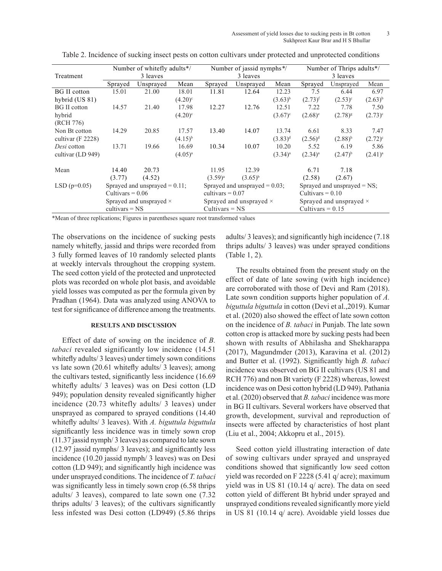Assessment of yield losses due to sucking pests in Bt cotton 3 Sukhpreet Kaur Brar and H S Bhullar

|                      | Number of whitefly adults*/                            |                                |                       | Number of jassid nymphs <sup>*/</sup> |              |              | Number of Thrips adults*/      |                       |              |  |
|----------------------|--------------------------------------------------------|--------------------------------|-----------------------|---------------------------------------|--------------|--------------|--------------------------------|-----------------------|--------------|--|
| Treatment            | 3 leaves                                               |                                |                       |                                       | 3 leaves     |              |                                | 3 leaves              |              |  |
|                      | Sprayed                                                | Unsprayed                      | Mean                  | Sprayed                               | Unsprayed    | Mean         | Sprayed                        | Unsprayed             | Mean         |  |
| <b>BG</b> II cotton  | 15.01                                                  | 21.00                          | 18.01                 | 11.81                                 | 12.64        | 12.23        | 7.5                            | 6.44                  | 6.97         |  |
| hybrid (US 81)       |                                                        |                                | $(4.20)$ <sup>c</sup> |                                       |              | $(3.63)^{b}$ | $(2.73)^{f}$                   | $(2.53)^{c}$          | $(2.63)^{b}$ |  |
| <b>BG</b> II cotton  | 14.57                                                  | 21.40                          | 17.98                 | 12.27                                 | 12.76        | 12.51        | 7.22                           | 7.78                  | 7.50         |  |
| hybrid               |                                                        |                                | $(4.20)$ <sup>c</sup> |                                       |              | $(3.67)^c$   | $(2.68)^e$                     | $(2.78)^{8}$          | $(2.73)^{c}$ |  |
| (RCH 776)            |                                                        |                                |                       |                                       |              |              |                                |                       |              |  |
| Non Bt cotton        | 14.29                                                  | 20.85                          | 17.57                 | 13.40                                 | 14.07        | 13.74        | 6.61                           | 8.33                  | 7.47         |  |
| cultivar ( $F$ 2228) |                                                        |                                | $(4.15)^{b}$          |                                       |              | $(3.83)^d$   | $(2.56)^d$                     | $(2.88)$ <sup>h</sup> | $(2.72)^{c}$ |  |
| Desi cotton          | 13.71                                                  | 19.66                          | 16.69                 | 10.34                                 | 10.07        | 10.20        | 5.52                           | 6.19                  | 5.86         |  |
| cultivar (LD 949)    |                                                        |                                | $(4.05)^{a}$          |                                       |              | $(3.34)^a$   | $(2.34)^{a}$                   | $(2.47)^{b}$          | $(2.41)^{a}$ |  |
| Mean                 | 14.40                                                  | 20.73                          |                       | 11.95                                 | 12.39        |              | 6.71                           | 7.18                  |              |  |
|                      | (3.77)                                                 | (4.52)                         |                       | $(3.59)^{a}$                          | $(3.65)^{b}$ |              | (2.58)                         | (2.67)                |              |  |
| $LSD(p=0.05)$        | Sprayed and unsprayed $= 0.11$ ;<br>Cultivars $= 0.06$ |                                |                       | Sprayed and unsprayed $= 0.03$ ;      |              |              | Sprayed and unsprayed $=$ NS;  |                       |              |  |
|                      |                                                        |                                |                       | cultivars = $0.07$                    |              |              | Cultivars $= 0.10$             |                       |              |  |
|                      |                                                        | Sprayed and unsprayed $\times$ |                       | Sprayed and unsprayed $\times$        |              |              | Sprayed and unsprayed $\times$ |                       |              |  |
|                      | cultivars $=$ NS                                       |                                |                       | $Cultivars = NS$                      |              |              | Cultivars $= 0.15$             |                       |              |  |

Table 2. Incidence of sucking insect pests on cotton cultivars under protected and unprotected conditions

\*Mean of three replications; Figures in parentheses square root transformed values

The observations on the incidence of sucking pests namely whitefly, jassid and thrips were recorded from 3 fully formed leaves of 10 randomly selected plants at weekly intervals throughout the cropping system. The seed cotton yield of the protected and unprotected plots was recorded on whole plot basis, and avoidable yield losses was computed as per the formula given by Pradhan (1964). Data was analyzed using ANOVA to test for significance of difference among the treatments.

### **RESULTS AND DISCUSSION**

Effect of date of sowing on the incidence of *B. tabaci* revealed significantly low incidence (14.51 whitefly adults/ 3 leaves) under timely sown conditions vs late sown (20.61 whitefly adults/ 3 leaves); among the cultivars tested, significantly less incidence (16.69 whitefly adults/ 3 leaves) was on Desi cotton (LD 949); population density revealed significantly higher incidence (20.73 whitefly adults/ 3 leaves) under unsprayed as compared to sprayed conditions (14.40 whitefly adults/ 3 leaves). With *A. biguttula biguttula* significantly less incidence was in timely sown crop (11.37 jassid nymph/ 3 leaves) as compared to late sown (12.97 jassid nymphs/ 3 leaves); and significantly less incidence (10.20 jassid nymph/ 3 leaves) was on Desi cotton (LD 949); and significantly high incidence was under unsprayed conditions. The incidence of *T. tabaci* was significantly less in timely sown crop  $(6.58 \text{ thrips})$ adults/ 3 leaves), compared to late sown one (7.32 thrips adults/ 3 leaves); of the cultivars significantly less infested was Desi cotton (LD949) (5.86 thrips adults/ 3 leaves); and significantly high incidence (7.18 thrips adults/ 3 leaves) was under sprayed conditions (Table 1, 2).

The results obtained from the present study on the effect of date of late sowing (with high incidence) are corroborated with those of Devi and Ram (2018). Late sown condition supports higher population of *A. biguttula biguttula* in cotton (Devi et al.,2019). Kumar et al. (2020) also showed the effect of late sown cotton on the incidence of *B. tabaci* in Punjab. The late sown cotton crop is attacked more by sucking pests had been shown with results of Abhilasha and Shekharappa (2017), Magundmder (2013), Karavina et al. (2012) and Butter et al. (1992). Significantly high *B. tabaci* incidence was observed on BG II cultivars (US 81 and RCH 776) and non Bt variety (F 2228) whereas, lowest incidence was on Desi cotton hybrid (LD 949). Pathania et al. (2020) observed that *B. tabaci* incidence was more in BG II cultivars. Several workers have observed that growth, development, survival and reproduction of insects were affected by characteristics of host plant (Liu et al., 2004; Akkopru et al., 2015).

Seed cotton yield illustrating interaction of date of sowing cultivars under sprayed and unsprayed conditions showed that significantly low seed cotton yield was recorded on F 2228 (5.41 q/ acre); maximum yield was in US 81 (10.14 q/ acre). The data on seed cotton yield of different Bt hybrid under sprayed and unsprayed conditions revealed significantly more yield in US 81 (10.14 q/ acre). Avoidable yield losses due